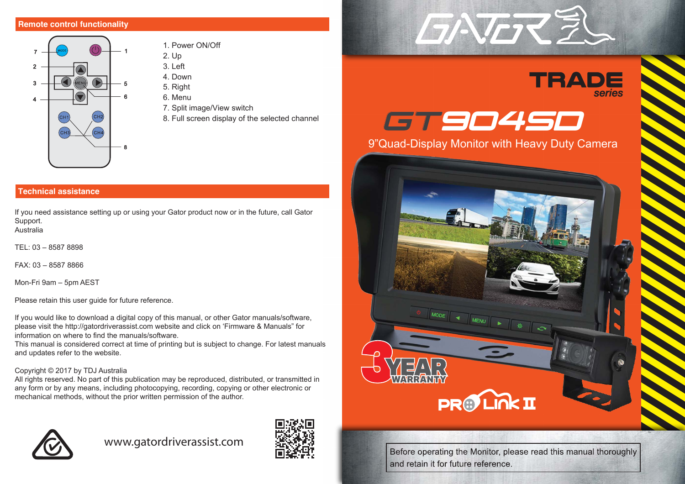# **Remote control functionality**



- 1. Power ON/Off 2. Up
- $3 \mid$  eft
- 4. Down
- 5. Right
- 6. Menu
- 7. Split image/View switch
- 8. Full screen display of the selected channel

# **Technical assistance**

If you need assistance setting up or using your Gator product now or in the future, call Gator Support. Australia

TEL: 03 – 8587 8898

FAX: 03 – 8587 8866

Mon-Fri 9am – 5pm AEST

Please retain this user guide for future reference.

If you would like to download a digital copy of this manual, or other Gator manuals/software, please visit the http://gatordriverassist.com website and click on 'Firmware & Manuals" for information on where to find the manuals/software.

This manual is considered correct at time of printing but is subject to change. For latest manuals and updates refer to the website.

# Copyright © 2017 by TDJ Australia

All rights reserved. No part of this publication may be reproduced, distributed, or transmitted in any form or by any means, including photocopying, recording, copying or other electronic or mechanical methods, without the prior written permission of the author.



# www.gatordriverassist.com









Before operating the Monitor, please read this manual thoroughly and retain it for future reference.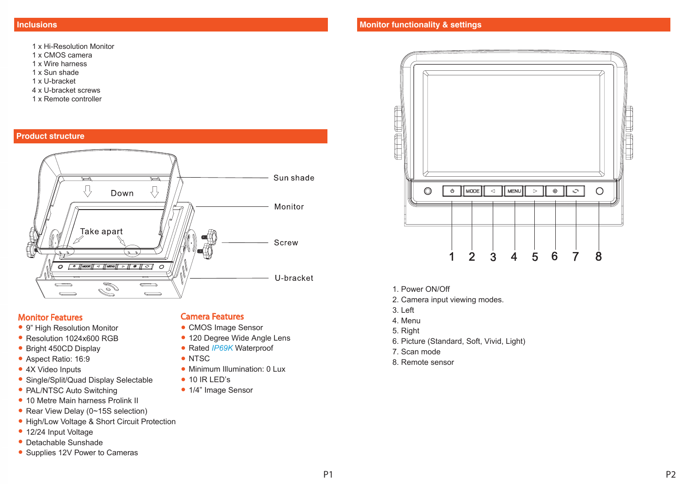- 1 x Hi-Resolution Monitor
- 1 x CMOS camera
- 1 x Wire harness
- 1 x Sun shade
- 1 x U-bracket
- 4 x U-bracket screws
- 1 x Remote controller

#### **Product structure**



# Monitor Features

- 9" High Resolution Monitor
- Resolution 1024x600 RGB
- Bright 450CD Display
- Aspect Ratio: 16:9
- 4X Video Inputs
- Single/Split/Quad Display Selectable
- PAL/NTSC Auto Switching
- 10 Metre Main harness Prolink II
- Rear View Delay (0~15S selection)
- High/Low Voltage & Short Circuit Protection
- 12/24 Input Voltage
- Detachable Sunshade
- Supplies 12V Power to Cameras

# Camera Features

- CMOS Image Sensor
- 120 Degree Wide Angle Lens
- Rated *IP69K* Waterproof
- NTSC
- Minimum Illumination: 0 Lux
- 10 IR LED's
- 1/4" Image Sensor



- 1. Power ON/Off
- 2. Camera input viewing modes.
- 3. Left
- 4. Menu
- 5. Right
- 6. Picture (Standard, Soft, Vivid, Light)
- 7. Scan mode
- 8. Remote sensor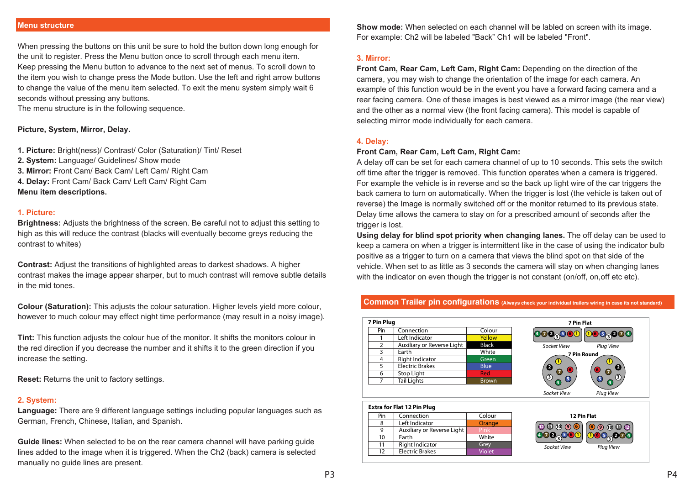#### **Menu structure**

When pressing the buttons on this unit be sure to hold the button down long enough for the unit to register. Press the Menu button once to scroll through each menu item. Keep pressing the Menu button to advance to the next set of menus. To scroll down to the item you wish to change press the Mode button. Use the left and right arrow buttons to change the value of the menu item selected. To exit the menu system simply wait 6 seconds without pressing any buttons.

The menu structure is in the following sequence.

#### **Picture, System, Mirror, Delay.**

- **1. Picture:** Bright(ness)/ Contrast/ Color (Saturation)/ Tint/ Reset
- **2. System:** Language/ Guidelines/ Show mode
- **3. Mirror:** Front Cam/ Back Cam/ Left Cam/ Right Cam
- **4. Delay:** Front Cam/ Back Cam/ Left Cam/ Right Cam

**Menu item descriptions.**

#### **1. Picture:**

**Brightness:** Adjusts the brightness of the screen. Be careful not to adjust this setting to high as this will reduce the contrast (blacks will eventually become greys reducing the contrast to whites)

**Contrast:** Adjust the transitions of highlighted areas to darkest shadows. A higher contrast makes the image appear sharper, but to much contrast will remove subtle details in the mid tones.

**Colour (Saturation):** This adjusts the colour saturation. Higher levels yield more colour, however to much colour may effect night time performance (may result in a noisy image).

**Tint:** This function adjusts the colour hue of the monitor. It shifts the monitors colour in the red direction if you decrease the number and it shifts it to the green direction if you increase the setting.

**Reset:** Returns the unit to factory settings.

#### **2. System:**

**Language:** There are 9 different language settings including popular languages such as German, French, Chinese, Italian, and Spanish.

**Guide lines:** When selected to be on the rear camera channel will have parking guide lines added to the image when it is triggered. When the Ch2 (back) camera is selected manually no guide lines are present.

**Show mode:** When selected on each channel will be labled on screen with its image. For example: Ch2 will be labeled "Back" Ch1 will be labeled "Front".

# **3. Mirror:**

**Front Cam, Rear Cam, Left Cam, Right Cam:** Depending on the direction of the camera, you may wish to change the orientation of the image for each camera. An example of this function would be in the event you have a forward facing camera and a rear facing camera. One of these images is best viewed as a mirror image (the rear view) and the other as a normal view (the front facing camera). This model is capable of selecting mirror mode individually for each camera.

#### **4. Delay:**

#### **Front Cam, Rear Cam, Left Cam, Right Cam:**

A delay off can be set for each camera channel of up to 10 seconds. This sets the switch off time after the trigger is removed. This function operates when a camera is triggered. For example the vehicle is in reverse and so the back up light wire of the car triggers the back camera to turn on automatically. When the trigger is lost (the vehicle is taken out of reverse) the Image is normally switched off or the monitor returned to its previous state. Delay time allows the camera to stay on for a prescribed amount of seconds after the trigger is lost.

**Using delay for blind spot priority when changing lanes.** The off delay can be used to keep a camera on when a trigger is intermittent like in the case of using the indicator bulb positive as a trigger to turn on a camera that views the blind spot on that side of the vehicle. When set to as little as 3 seconds the camera will stay on when changing lanes with the indicator on even though the trigger is not constant (on/off, on, off etc etc).

# **Common Trailer pin configurations** (Always check your individual trailers wiring in case its not standard)

| 7 Pin Plug    |                            |              |
|---------------|----------------------------|--------------|
| Pin           | Connection                 | Colour       |
|               | Left Indicator             | Yellow       |
| $\mathcal{P}$ | Auxiliary or Reverse Light | <b>Black</b> |
| 3             | Earth                      | White        |
|               | Right Indicator            | Green        |
| ς             | <b>Electric Brakes</b>     | Blue         |
|               | Stop Light                 | Red          |
|               | <b>Tail Lights</b>         | <b>Brown</b> |
|               |                            |              |



# **Extra for Flat 12 Pin Plug**

| Pin | Connection                 | Colour        |
|-----|----------------------------|---------------|
|     | Left Indicator             | Orange        |
|     | Auxiliary or Reverse Light |               |
| 10  | Earth                      | White         |
| 11  | <b>Right Indicator</b>     | Grey          |
| 17  | <b>Electric Brakes</b>     | <b>Violet</b> |

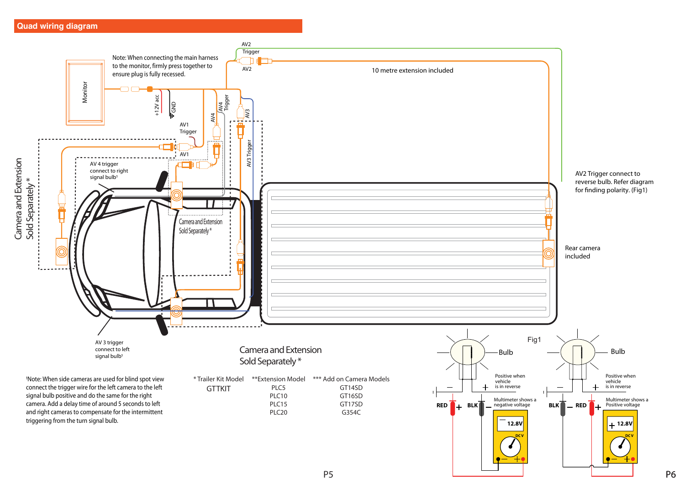# **Quad wiring diagram**



P6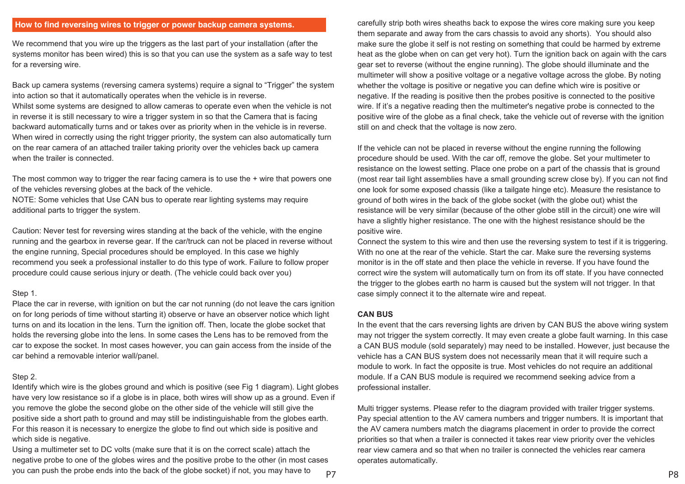# **How to find reversing wires to trigger or power backup camera systems.**

We recommend that you wire up the triggers as the last part of your installation (after the systems monitor has been wired) this is so that you can use the system as a safe way to test for a reversing wire.

Back up camera systems (reversing camera systems) require a signal to "Trigger" the system into action so that it automatically operates when the vehicle is in reverse. Whilst some systems are designed to allow cameras to operate even when the vehicle is not in reverse it is still necessary to wire a trigger system in so that the Camera that is facing backward automatically turns and or takes over as priority when in the vehicle is in reverse. When wired in correctly using the right trigger priority, the system can also automatically turn on the rear camera of an attached trailer taking priority over the vehicles back up camera when the trailer is connected.

The most common way to trigger the rear facing camera is to use the  $+$  wire that powers one of the vehicles reversing globes at the back of the vehicle.

NOTE: Some vehicles that Use CAN bus to operate rear lighting systems may require additional parts to trigger the system.

Caution: Never test for reversing wires standing at the back of the vehicle, with the engine running and the gearbox in reverse gear. If the car/truck can not be placed in reverse without the engine running, Special procedures should be employed. In this case we highly recommend you seek a professional installer to do this type of work. Failure to follow proper procedure could cause serious injury or death. (The vehicle could back over you)

#### Step 1.

Place the car in reverse, with ignition on but the car not running (do not leave the cars ignition on for long periods of time without starting it) observe or have an observer notice which light turns on and its location in the lens. Turn the ignition off. Then, locate the globe socket that holds the reversing globe into the lens. In some cases the Lens has to be removed from the car to expose the socket. In most cases however, you can gain access from the inside of the car behind a removable interior wall/panel.

#### Step 2.

Identify which wire is the globes ground and which is positive (see Fig 1 diagram). Light globes have very low resistance so if a globe is in place, both wires will show up as a ground. Even if you remove the globe the second globe on the other side of the vehicle will still give the positive side a short path to ground and may still be indistinguishable from the globes earth. For this reason it is necessary to energize the globe to find out which side is positive and which side is negative.

Using a multimeter set to DC volts (make sure that it is on the correct scale) attach the negative probe to one of the globes wires and the positive probe to the other (in most cases you can push the probe ends into the back of the globe socket) if not, you may have to

carefully strip both wires sheaths back to expose the wires core making sure you keep them separate and away from the cars chassis to avoid any shorts). You should also make sure the globe it self is not resting on something that could be harmed by extreme heat as the globe when on can get very hot). Turn the ignition back on again with the cars gear set to reverse (without the engine running). The globe should illuminate and the multimeter will show a positive voltage or a negative voltage across the globe. By noting whether the voltage is positive or negative you can define which wire is positive or negative. If the reading is positive then the probes positive is connected to the positive wire. If it's a negative reading then the multimeter's negative probe is connected to the positive wire of the globe as a final check, take the vehicle out of reverse with the ignition still on and check that the voltage is now zero.

If the vehicle can not be placed in reverse without the engine running the following procedure should be used. With the car off, remove the globe. Set your multimeter to resistance on the lowest setting. Place one probe on a part of the chassis that is ground (most rear tail light assemblies have a small grounding screw close by). If you can not find one look for some exposed chassis (like a tailgate hinge etc). Measure the resistance to ground of both wires in the back of the globe socket (with the globe out) whist the resistance will be very similar (because of the other globe still in the circuit) one wire will have a slightly higher resistance. The one with the highest resistance should be the positive wire.

Connect the system to this wire and then use the reversing system to test if it is triggering. With no one at the rear of the vehicle. Start the car. Make sure the reversing systems monitor is in the off state and then place the vehicle in reverse. If you have found the correct wire the system will automatically turn on from its off state. If you have connected the trigger to the globes earth no harm is caused but the system will not trigger. In that case simply connect it to the alternate wire and repeat.

### **CAN BUS**

In the event that the cars reversing lights are driven by CAN BUS the above wiring system may not trigger the system correctly. It may even create a globe fault warning. In this case a CAN BUS module (sold separately) may need to be installed. However, just because the vehicle has a CAN BUS system does not necessarily mean that it will require such a module to work. In fact the opposite is true. Most vehicles do not require an additional module. If a CAN BUS module is required we recommend seeking advice from a professional installer.

Multi trigger systems. Please refer to the diagram provided with trailer trigger systems. Pay special attention to the AV camera numbers and trigger numbers. It is important that the AV camera numbers match the diagrams placement in order to provide the correct priorities so that when a trailer is connected it takes rear view priority over the vehicles rear view camera and so that when no trailer is connected the vehicles rear camera operates automatically.